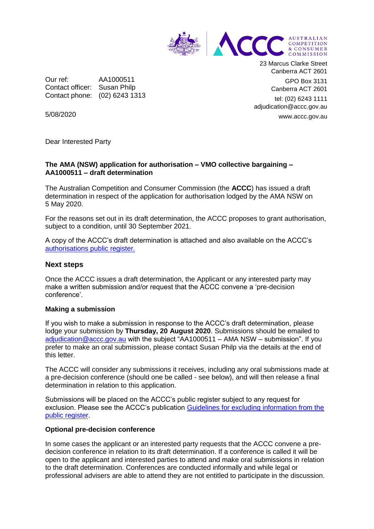

Our ref: AA1000511 Contact officer: Susan Philp Contact phone: (02) 6243 1313 23 Marcus Clarke Street Canberra ACT 2601 GPO Box 3131

Canberra ACT 2601

tel: (02) 6243 1111 adjudication@accc.gov.au www.accc.gov.au

5/08/2020

Dear Interested Party

### **The AMA (NSW) application for authorisation – VMO collective bargaining – AA1000511 – draft determination**

The Australian Competition and Consumer Commission (the **ACCC**) has issued a draft determination in respect of the application for authorisation lodged by the AMA NSW on 5 May 2020.

For the reasons set out in its draft determination, the ACCC proposes to grant authorisation, subject to a condition, until 30 September 2021.

A copy of the ACCC's draft determination is attached and also available on the ACCC's [authorisations public register.](https://www.accc.gov.au/public-registers/authorisations-and-notifications-registers/authorisations-register/amansw-%e2%80%93-vmo-collective-bargaining-in-response-to-covid-19)

### **Next steps**

Once the ACCC issues a draft determination, the Applicant or any interested party may make a written submission and/or request that the ACCC convene a 'pre-decision conference'.

#### **Making a submission**

If you wish to make a submission in response to the ACCC's draft determination, please lodge your submission by **Thursday, 20 August 2020**. Submissions should be emailed to [adjudication@accc.gov.au](mailto:adjudication@accc.gov.au) with the subject "AA1000511 – AMA NSW – submission". If you prefer to make an oral submission, please contact Susan Philp via the details at the end of this letter.

The ACCC will consider any submissions it receives, including any oral submissions made at a pre-decision conference (should one be called - see below), and will then release a final determination in relation to this application.

Submissions will be placed on the ACCC's public register subject to any request for exclusion. Please see the ACCC's publication [Guidelines for excluding information from the](https://www.accc.gov.au/publications/guidelines-for-excluding-information-from-the-public-register-for-authorisation-and-notification-processes)  [public register.](https://www.accc.gov.au/publications/guidelines-for-excluding-information-from-the-public-register-for-authorisation-and-notification-processes)

#### **Optional pre-decision conference**

In some cases the applicant or an interested party requests that the ACCC convene a predecision conference in relation to its draft determination. If a conference is called it will be open to the applicant and interested parties to attend and make oral submissions in relation to the draft determination. Conferences are conducted informally and while legal or professional advisers are able to attend they are not entitled to participate in the discussion.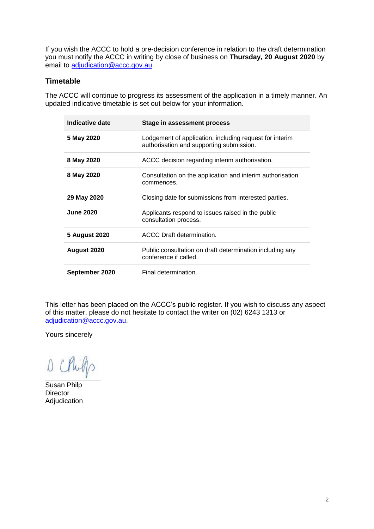If you wish the ACCC to hold a pre-decision conference in relation to the draft determination you must notify the ACCC in writing by close of business on **Thursday, 20 August 2020** by email to [adjudication@accc.gov.au.](mailto:adjudication@accc.gov.au)

# **Timetable**

The ACCC will continue to progress its assessment of the application in a timely manner. An updated indicative timetable is set out below for your information.

| Indicative date  | Stage in assessment process                                                                         |
|------------------|-----------------------------------------------------------------------------------------------------|
| 5 May 2020       | Lodgement of application, including request for interim<br>authorisation and supporting submission. |
| 8 May 2020       | ACCC decision regarding interim authorisation.                                                      |
| 8 May 2020       | Consultation on the application and interim authorisation<br>commences.                             |
| 29 May 2020      | Closing date for submissions from interested parties.                                               |
| <b>June 2020</b> | Applicants respond to issues raised in the public<br>consultation process.                          |
| 5 August 2020    | ACCC Draft determination.                                                                           |
| August 2020      | Public consultation on draft determination including any<br>conference if called.                   |
| September 2020   | Final determination.                                                                                |

This letter has been placed on the ACCC's public register. If you wish to discuss any aspect of this matter, please do not hesitate to contact the writer on (02) 6243 1313 or [adjudication@accc.gov.au.](mailto:adjudication@accc.gov.au)

Yours sincerely

D Chil

Susan Philp **Director** Adjudication